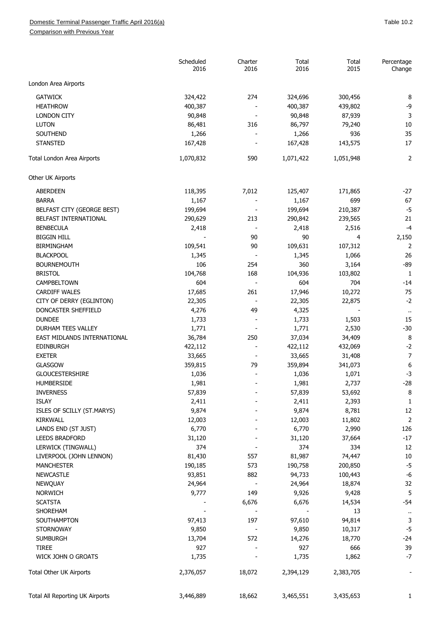## Domestic Terminal Passenger Traffic April 2016(a) and the control of the control of the control of the control of the 10.2

Comparison with Previous Year

|                                              | Scheduled<br>2016 | Charter<br>2016 | Total<br>2016     | Total<br>2015     | Percentage<br>Change |
|----------------------------------------------|-------------------|-----------------|-------------------|-------------------|----------------------|
| London Area Airports                         |                   |                 |                   |                   |                      |
| <b>GATWICK</b>                               | 324,422           | 274             | 324,696           | 300,456           | 8                    |
| <b>HEATHROW</b>                              | 400,387           |                 | 400,387           | 439,802           | $-9$                 |
| <b>LONDON CITY</b>                           | 90,848            |                 | 90,848            | 87,939            | 3                    |
| <b>LUTON</b>                                 | 86,481            | 316             | 86,797            | 79,240            | 10                   |
| SOUTHEND                                     | 1,266             |                 | 1,266             | 936               | 35                   |
| <b>STANSTED</b>                              | 167,428           |                 | 167,428           | 143,575           | 17                   |
| Total London Area Airports                   | 1,070,832         | 590             | 1,071,422         | 1,051,948         | $\overline{2}$       |
| Other UK Airports                            |                   |                 |                   |                   |                      |
| <b>ABERDEEN</b>                              | 118,395           | 7,012           | 125,407           | 171,865           | $-27$                |
| <b>BARRA</b>                                 | 1,167             |                 | 1,167             | 699               | 67                   |
| BELFAST CITY (GEORGE BEST)                   | 199,694           |                 | 199,694           | 210,387           | $-5$                 |
| BELFAST INTERNATIONAL                        | 290,629           | 213             | 290,842           | 239,565           | 21                   |
| <b>BENBECULA</b>                             | 2,418             |                 | 2,418             | 2,516             | $-4$                 |
| <b>BIGGIN HILL</b>                           |                   | 90              | 90                | $\overline{4}$    | 2,150                |
| <b>BIRMINGHAM</b>                            | 109,541           | 90              | 109,631           | 107,312           | 2                    |
| <b>BLACKPOOL</b>                             | 1,345             |                 | 1,345             | 1,066             | 26                   |
| <b>BOURNEMOUTH</b>                           | 106               | 254             | 360               | 3,164             | $-89$                |
| <b>BRISTOL</b>                               | 104,768           | 168             | 104,936           | 103,802           | $1\,$                |
| CAMPBELTOWN                                  | 604               |                 | 604               | 704               | $-14$                |
| <b>CARDIFF WALES</b>                         | 17,685            | 261             | 17,946            | 10,272            | 75                   |
| CITY OF DERRY (EGLINTON)                     | 22,305            |                 | 22,305            | 22,875            | $-2$                 |
| DONCASTER SHEFFIELD                          | 4,276             | 49              | 4,325             |                   | $\cdot$              |
| <b>DUNDEE</b>                                | 1,733             |                 | 1,733             | 1,503             | 15                   |
| DURHAM TEES VALLEY                           | 1,771             |                 | 1,771             | 2,530             | $-30$                |
| EAST MIDLANDS INTERNATIONAL                  | 36,784            | 250             | 37,034            | 34,409            | 8                    |
| <b>EDINBURGH</b>                             | 422,112           |                 | 422,112           | 432,069           | $-2$                 |
| <b>EXETER</b>                                | 33,665            |                 | 33,665            | 31,408            | $\overline{7}$       |
| GLASGOW                                      | 359,815           | 79              | 359,894           | 341,073           | 6                    |
| <b>GLOUCESTERSHIRE</b>                       | 1,036             |                 | 1,036             | 1,071             | $-3$                 |
| HUMBERSIDE                                   | 1,981             |                 | 1,981             | 2,737             | $-28$                |
| <b>INVERNESS</b>                             | 57,839            |                 | 57,839            | 53,692            | 8                    |
| <b>ISLAY</b>                                 | 2,411             |                 | 2,411             | 2,393             | $\mathbf{1}$         |
| ISLES OF SCILLY (ST.MARYS)                   | 9,874             |                 | 9,874             | 8,781             | 12                   |
| KIRKWALL                                     | 12,003            |                 | 12,003            | 11,802            | $\mathbf 2$          |
| LANDS END (ST JUST)                          | 6,770             |                 | 6,770             | 2,990             | 126                  |
| <b>LEEDS BRADFORD</b>                        | 31,120            |                 | 31,120            | 37,664            | $-17$                |
| LERWICK (TINGWALL)                           | 374               |                 | 374               | 334               | 12                   |
|                                              |                   |                 |                   |                   |                      |
| LIVERPOOL (JOHN LENNON)<br><b>MANCHESTER</b> | 81,430<br>190,185 | 557<br>573      | 81,987<br>190,758 | 74,447<br>200,850 | 10<br>$-5$           |
| <b>NEWCASTLE</b>                             | 93,851            | 882             | 94,733            |                   | $-6$                 |
|                                              |                   |                 |                   | 100,443           | 32                   |
| <b>NEWQUAY</b><br><b>NORWICH</b>             | 24,964<br>9,777   | 149             | 24,964<br>9,926   | 18,874<br>9,428   | 5                    |
|                                              |                   |                 |                   |                   |                      |
| <b>SCATSTA</b>                               |                   | 6,676           | 6,676             | 14,534            | $-54$                |
| SHOREHAM                                     |                   |                 |                   | 13                | $\bar{\phantom{a}}$  |
| SOUTHAMPTON                                  | 97,413            | 197             | 97,610            | 94,814            | 3                    |
| <b>STORNOWAY</b>                             | 9,850             |                 | 9,850             | 10,317            | $-5$                 |
| <b>SUMBURGH</b>                              | 13,704            | 572             | 14,276            | 18,770            | $-24$                |
| <b>TIREE</b>                                 | 927               |                 | 927               | 666               | 39                   |
| WICK JOHN O GROATS                           | 1,735             |                 | 1,735             | 1,862             | $-7$                 |
| Total Other UK Airports                      | 2,376,057         | 18,072          | 2,394,129         | 2,383,705         |                      |
| Total All Reporting UK Airports              | 3,446,889         | 18,662          | 3,465,551         | 3,435,653         | 1                    |